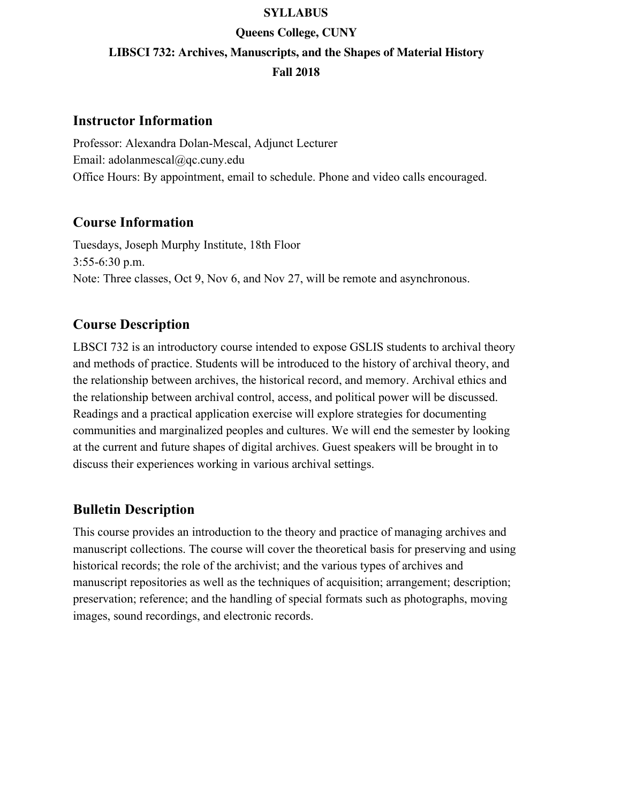#### **SYLLABUS**

# **Queens College, CUNY LIBSCI 732: Archives, Manuscripts, and the Shapes of Material History Fall 2018**

## **Instructor Information**

Professor: Alexandra Dolan-Mescal, Adjunct Lecturer Email: adolanmescal@qc.cuny.edu Office Hours: By appointment, email to schedule. Phone and video calls encouraged.

## **Course Information**

Tuesdays, Joseph Murphy Institute, 18th Floor 3:55-6:30 p.m. Note: Three classes, Oct 9, Nov 6, and Nov 27, will be remote and asynchronous.

## **Course Description**

LBSCI 732 is an introductory course intended to expose GSLIS students to archival theory and methods of practice. Students will be introduced to the history of archival theory, and the relationship between archives, the historical record, and memory. Archival ethics and the relationship between archival control, access, and political power will be discussed. Readings and a practical application exercise will explore strategies for documenting communities and marginalized peoples and cultures. We will end the semester by looking at the current and future shapes of digital archives. Guest speakers will be brought in to discuss their experiences working in various archival settings.

## **Bulletin Description**

This course provides an introduction to the theory and practice of managing archives and manuscript collections. The course will cover the theoretical basis for preserving and using historical records; the role of the archivist; and the various types of archives and manuscript repositories as well as the techniques of acquisition; arrangement; description; preservation; reference; and the handling of special formats such as photographs, moving images, sound recordings, and electronic records.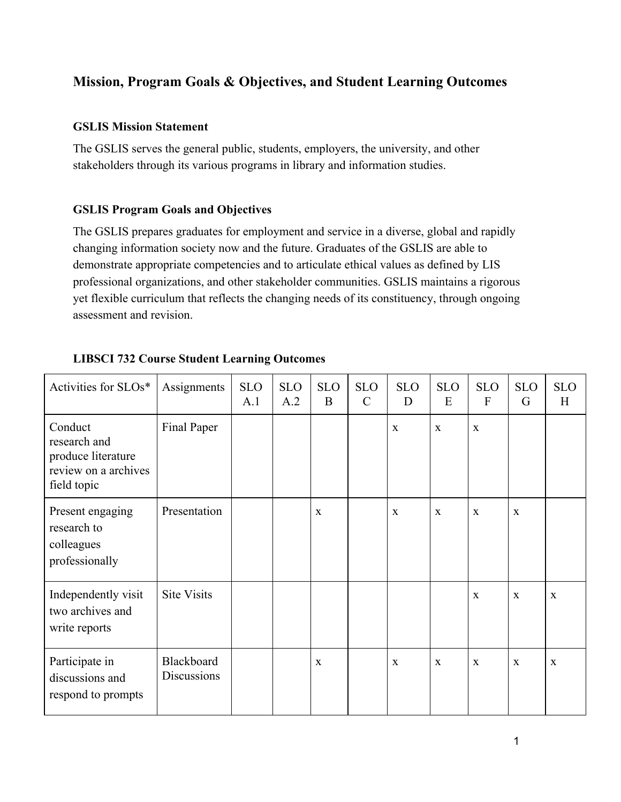## **Mission, Program Goals & Objectives, and Student Learning Outcomes**

### **GSLIS Mission Statement**

The GSLIS serves the general public, students, employers, the university, and other stakeholders through its various programs in library and information studies.

## **GSLIS Program Goals and Objectives**

The GSLIS prepares graduates for employment and service in a diverse, global and rapidly changing information society now and the future. Graduates of the GSLIS are able to demonstrate appropriate competencies and to articulate ethical values as defined by LIS professional organizations, and other stakeholder communities. GSLIS maintains a rigorous yet flexible curriculum that reflects the changing needs of its constituency, through ongoing assessment and revision.

| Activities for SLOs*                                                                 | Assignments                      | <b>SLO</b><br>A.1 | <b>SLO</b><br>A.2 | <b>SLO</b><br>B | <b>SLO</b><br>$\mathcal{C}$ | <b>SLO</b><br>D | <b>SLO</b><br>E | <b>SLO</b><br>F | <b>SLO</b><br>G | <b>SLO</b><br>H |
|--------------------------------------------------------------------------------------|----------------------------------|-------------------|-------------------|-----------------|-----------------------------|-----------------|-----------------|-----------------|-----------------|-----------------|
| Conduct<br>research and<br>produce literature<br>review on a archives<br>field topic | Final Paper                      |                   |                   |                 |                             | $\mathbf X$     | $\mathbf{X}$    | X               |                 |                 |
| Present engaging<br>research to<br>colleagues<br>professionally                      | Presentation                     |                   |                   | $\mathbf{X}$    |                             | $\mathbf X$     | $\mathbf X$     | X               | $\mathbf X$     |                 |
| Independently visit<br>two archives and<br>write reports                             | <b>Site Visits</b>               |                   |                   |                 |                             |                 |                 | $\mathbf{x}$    | $\mathbf{x}$    | $\mathbf{X}$    |
| Participate in<br>discussions and<br>respond to prompts                              | Blackboard<br><b>Discussions</b> |                   |                   | X               |                             | X               | X               | X               | X               | $\mathbf{X}$    |

## **LIBSCI 732 Course Student Learning Outcomes**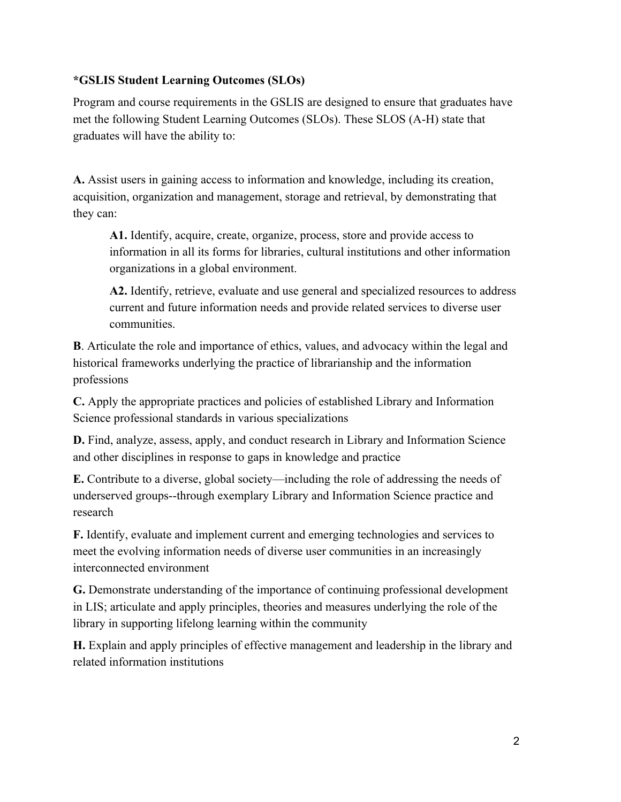## **\*GSLIS Student Learning Outcomes (SLOs)**

Program and course requirements in the GSLIS are designed to ensure that graduates have met the following Student Learning Outcomes (SLOs). These SLOS (A-H) state that graduates will have the ability to:

**A.** Assist users in gaining access to information and knowledge, including its creation, acquisition, organization and management, storage and retrieval, by demonstrating that they can:

**A1.** Identify, acquire, create, organize, process, store and provide access to information in all its forms for libraries, cultural institutions and other information organizations in a global environment.

**A2.** Identify, retrieve, evaluate and use general and specialized resources to address current and future information needs and provide related services to diverse user communities.

**B**. Articulate the role and importance of ethics, values, and advocacy within the legal and historical frameworks underlying the practice of librarianship and the information professions

**C.** Apply the appropriate practices and policies of established Library and Information Science professional standards in various specializations

**D.** Find, analyze, assess, apply, and conduct research in Library and Information Science and other disciplines in response to gaps in knowledge and practice

**E.** Contribute to a diverse, global society—including the role of addressing the needs of underserved groups--through exemplary Library and Information Science practice and research

**F.** Identify, evaluate and implement current and emerging technologies and services to meet the evolving information needs of diverse user communities in an increasingly interconnected environment

**G.** Demonstrate understanding of the importance of continuing professional development in LIS; articulate and apply principles, theories and measures underlying the role of the library in supporting lifelong learning within the community

**H.** Explain and apply principles of effective management and leadership in the library and related information institutions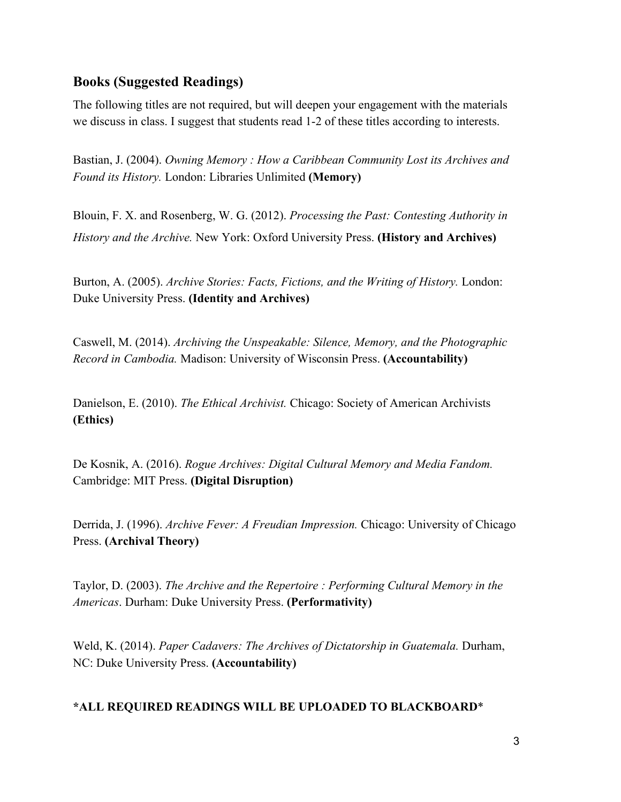## **Books (Suggested Readings)**

The following titles are not required, but will deepen your engagement with the materials we discuss in class. I suggest that students read 1-2 of these titles according to interests.

Bastian, J. (2004). *Owning Memory : How a Caribbean Community Lost its Archives and Found its History.* London: Libraries Unlimited **(Memory)**

Blouin, F. X. and Rosenberg, W. G. (2012). *Processing the Past: Contesting Authority in History and the Archive.* New York: Oxford University Press. **(History and Archives)**

Burton, A. (2005). *Archive Stories: Facts, Fictions, and the Writing of History.* London: Duke University Press. **(Identity and Archives)**

Caswell, M. (2014). *Archiving the Unspeakable: Silence, Memory, and the Photographic Record in Cambodia.* Madison: University of Wisconsin Press. **(Accountability)**

Danielson, E. (2010). *The Ethical Archivist.* Chicago: Society of American Archivists **(Ethics)**

De Kosnik, A. (2016). *Rogue Archives: Digital Cultural Memory and Media Fandom.* Cambridge: MIT Press. **(Digital Disruption)**

Derrida, J. (1996). *Archive Fever: A Freudian Impression.* Chicago: University of Chicago Press. **(Archival Theory)**

Taylor, D. (2003). *The Archive and the Repertoire : Performing Cultural Memory in the Americas*. Durham: Duke University Press. **(Performativity)**

Weld, K. (2014). *Paper Cadavers: The Archives of Dictatorship in Guatemala.* Durham, NC: Duke University Press. **(Accountability)**

#### **\*ALL REQUIRED READINGS WILL BE UPLOADED TO BLACKBOARD**\*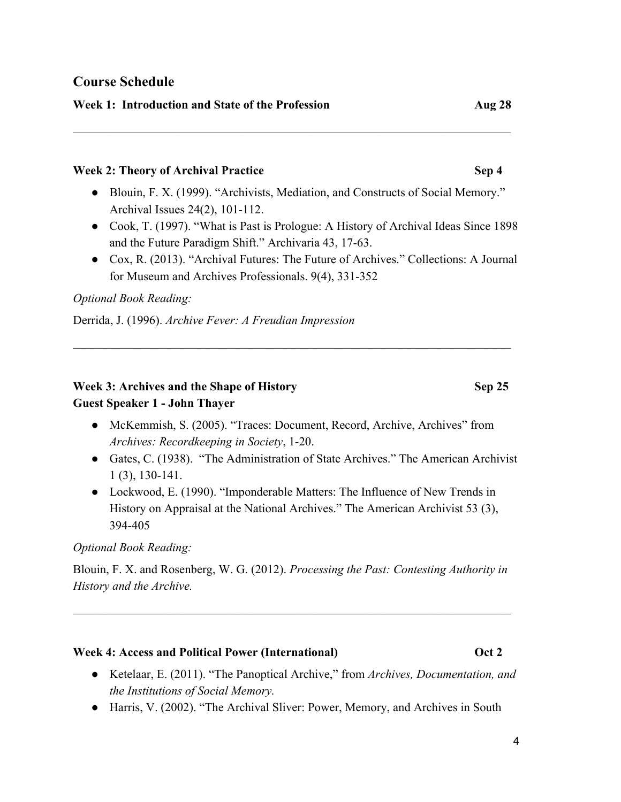## **Course Schedule**

### **Week 1: Introduction and State of the Profession Aug 28**

#### **Week 2: Theory of Archival Practice <b>Sep 4 Sep 4**

● Blouin, F. X. (1999). "Archivists, Mediation, and Constructs of Social Memory." Archival Issues 24(2), 101-112.

 $\mathcal{L}_\text{max}$  , and the contribution of the contribution of the contribution of the contribution of the contribution of the contribution of the contribution of the contribution of the contribution of the contribution of t

- Cook, T. (1997). "What is Past is Prologue: A History of Archival Ideas Since 1898 and the Future Paradigm Shift." Archivaria 43, 17-63.
- Cox, R. (2013). "Archival Futures: The Future of Archives." Collections: A Journal for Museum and Archives Professionals. 9(4), 331-352

#### *Optional Book Reading:*

Derrida, J. (1996). *Archive Fever: A Freudian Impression*

### **Week 3: Archives and the Shape of History Sep 25 Guest Speaker 1 - John Thayer**

• McKemmish, S. (2005). "Traces: Document, Record, Archive, Archives" from *Archives: Recordkeeping in Society*, 1-20.

 $\mathcal{L}_\text{max}$  , and the contribution of the contribution of the contribution of the contribution of the contribution of the contribution of the contribution of the contribution of the contribution of the contribution of t

- Gates, C. (1938). "The Administration of State Archives." The American Archivist 1 (3), 130-141.
- Lockwood, E. (1990). "Imponderable Matters: The Influence of New Trends in History on Appraisal at the National Archives." The American Archivist 53 (3), 394-405

#### *Optional Book Reading:*

Blouin, F. X. and Rosenberg, W. G. (2012). *Processing the Past: Contesting Authority in History and the Archive.*

 $\mathcal{L}_\text{max}$  , and the contribution of the contribution of the contribution of the contribution of the contribution of the contribution of the contribution of the contribution of the contribution of the contribution of t

#### **Week 4: Access and Political Power (International) Oct 2**

- Ketelaar, E. (2011). "The Panoptical Archive," from *Archives, Documentation, and the Institutions of Social Memory.*
- Harris, V. (2002). "The Archival Sliver: Power, Memory, and Archives in South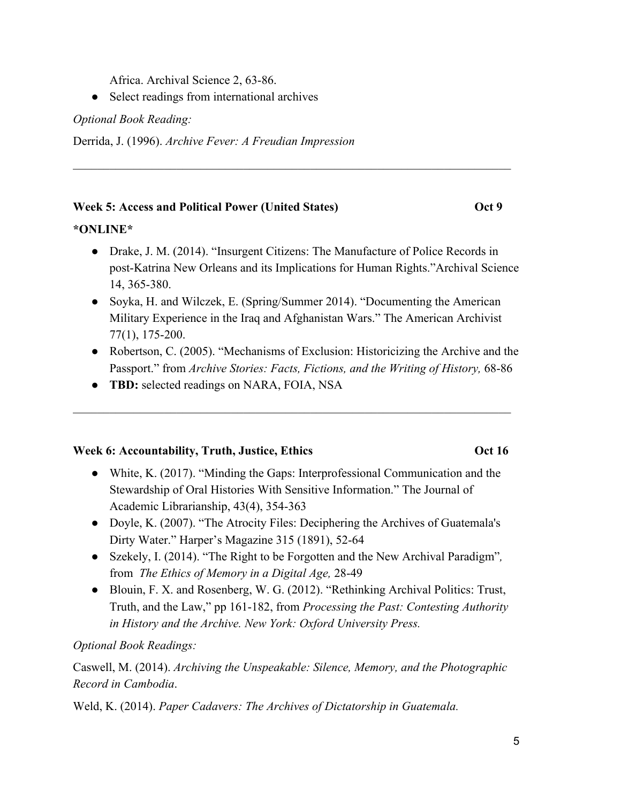Africa. Archival Science 2, 63-86.

• Select readings from international archives

*Optional Book Reading:*

Derrida, J. (1996). *Archive Fever: A Freudian Impression*

## **Week 5: Access and Political Power (United States) 6. Concrete Access 4. Oct 9. Access 4. Oct 9. Access 4. Access 4. Access 4. Access 4. Access 4. Access 4. Access 4. Access 4. Access 4. Access 4. Access 4. Access 4. Acce**

## **\*ONLINE\***

• Drake, J. M. (2014). "Insurgent Citizens: The Manufacture of Police Records in post-Katrina New Orleans and its Implications for Human Rights."Archival Science 14, 365-380.

 $\mathcal{L}_\text{max}$  , and the contribution of the contribution of the contribution of the contribution of the contribution of the contribution of the contribution of the contribution of the contribution of the contribution of t

- Soyka, H. and Wilczek, E. (Spring/Summer 2014). "Documenting the American Military Experience in the Iraq and Afghanistan Wars." The American Archivist 77(1), 175-200.
- Robertson, C. (2005). "Mechanisms of Exclusion: Historicizing the Archive and the Passport." from *Archive Stories: Facts, Fictions, and the Writing of History, 68-86*

 $\mathcal{L}_\text{max}$  , and the contribution of the contribution of the contribution of the contribution of the contribution of the contribution of the contribution of the contribution of the contribution of the contribution of t

● **TBD:** selected readings on NARA, FOIA, NSA

## **Week 6: Accountability, Truth, Justice, Ethics <b>COMENT COMENT COMENT COMENT COMENT** Oct 16

- White, K. (2017). "Minding the Gaps: Interprofessional Communication and the Stewardship of Oral Histories With Sensitive Information." The Journal of Academic Librarianship, 43(4), 354-363
- Doyle, K. (2007). "The Atrocity Files: Deciphering the Archives of Guatemala's Dirty Water." Harper's Magazine 315 (1891), 52-64
- Szekely, I. (2014). "The Right to be Forgotten and the New Archival Paradigm"*,* from *The Ethics of Memory in a Digital Age,* 28-49
- Blouin, F. X. and Rosenberg, W. G. (2012). "Rethinking Archival Politics: Trust, Truth, and the Law," pp 161-182, from *Processing the Past: Contesting Authority in History and the Archive. New York: Oxford University Press.*

## *Optional Book Readings:*

Caswell, M. (2014). *Archiving the Unspeakable: Silence, Memory, and the Photographic Record in Cambodia*.

Weld, K. (2014). *Paper Cadavers: The Archives of Dictatorship in Guatemala.*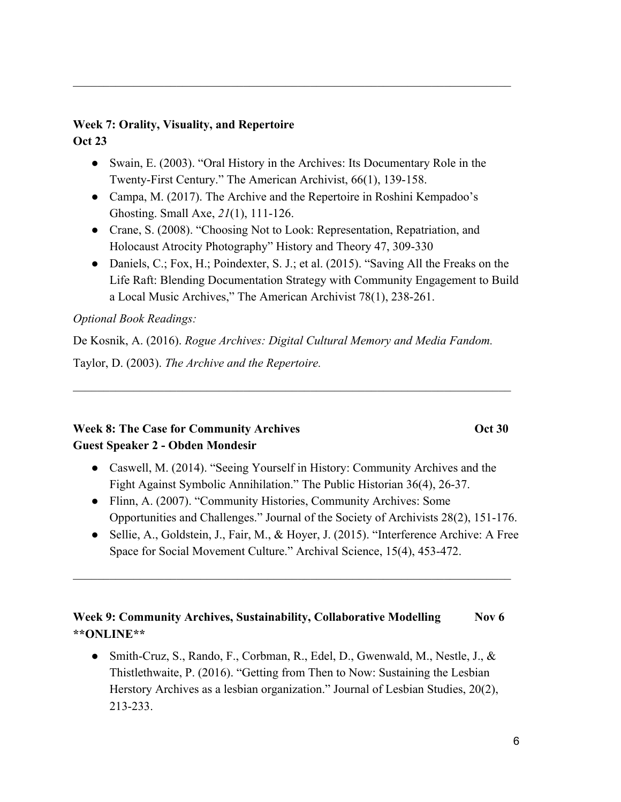#### **Week 7: Orality, Visuality, and Repertoire Oct 23**

• Swain, E. (2003). "Oral History in the Archives: Its Documentary Role in the Twenty-First Century." The American Archivist, 66(1), 139-158.

 $\mathcal{L}_\text{max}$  , and the contribution of the contribution of the contribution of the contribution of the contribution of the contribution of the contribution of the contribution of the contribution of the contribution of t

- Campa, M. (2017). The Archive and the Repertoire in Roshini Kempadoo's Ghosting. Small Axe, *21*(1), 111-126.
- Crane, S. (2008). "Choosing Not to Look: Representation, Repatriation, and Holocaust Atrocity Photography" History and Theory 47, 309-330
- Daniels, C.; Fox, H.; Poindexter, S. J.; et al. (2015). "Saving All the Freaks on the Life Raft: Blending Documentation Strategy with Community Engagement to Build a Local Music Archives," The American Archivist 78(1), 238-261.

## *Optional Book Readings:*

De Kosnik, A. (2016). *Rogue Archives: Digital Cultural Memory and Media Fandom.* Taylor, D. (2003). *The Archive and the Repertoire.*

 $\mathcal{L}_\text{max}$  , and the contribution of the contribution of the contribution of the contribution of the contribution of the contribution of the contribution of the contribution of the contribution of the contribution of t

## **Week 8: The Case for Community Archives 6. Oct 30 Guest Speaker 2 - Obden Mondesir**

- Caswell, M. (2014). "Seeing Yourself in History: Community Archives and the Fight Against Symbolic Annihilation." The Public Historian 36(4), 26-37.
- Flinn, A. (2007). "Community Histories, Community Archives: Some Opportunities and Challenges." Journal of the Society of Archivists 28(2), 151-176.
- Sellie, A., Goldstein, J., Fair, M., & Hoyer, J. (2015). "Interference Archive: A Free Space for Social Movement Culture." Archival Science, 15(4), 453-472.

## **Week 9: Community Archives, Sustainability, Collaborative Modelling Nov 6 \*\*ONLINE\*\***

 $\mathcal{L}_\text{max}$  , and the contribution of the contribution of the contribution of the contribution of the contribution of the contribution of the contribution of the contribution of the contribution of the contribution of t

● Smith-Cruz, S., Rando, F., Corbman, R., Edel, D., Gwenwald, M., Nestle, J., & Thistlethwaite, P. (2016). "Getting from Then to Now: Sustaining the Lesbian Herstory Archives as a lesbian organization." Journal of Lesbian Studies, 20(2), 213-233.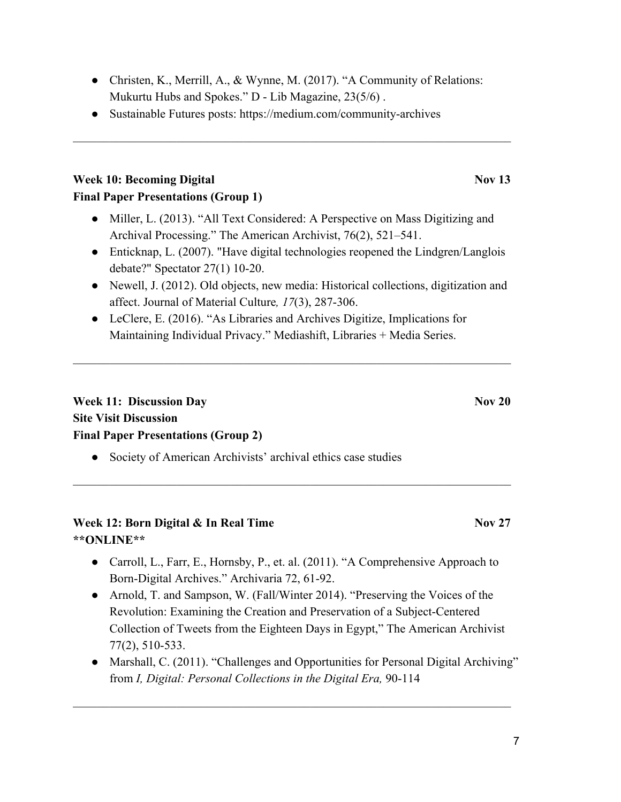• Christen, K., Merrill, A., & Wynne, M. (2017). "A Community of Relations: Mukurtu Hubs and Spokes." D - Lib Magazine, 23(5/6) .

 $\mathcal{L}_\text{max}$  , and the contribution of the contribution of the contribution of the contribution of the contribution of the contribution of the contribution of the contribution of the contribution of the contribution of t

● Sustainable Futures posts: https://medium.com/community-archives

## **Week 10: Becoming Digital November 12. In the Second Line Second 2.13 Final Paper Presentations (Group 1)**

- Miller, L. (2013). "All Text Considered: A Perspective on Mass Digitizing and Archival Processing." The American Archivist, 76(2), 521–541.
- Enticknap, L. (2007). "Have digital technologies reopened the Lindgren/Langlois debate?" Spectator 27(1) 10-20.
- Newell, J. (2012). Old objects, new media: Historical collections, digitization and affect. Journal of Material Culture*, 17*(3), 287-306.
- LeClere, E. (2016). "As Libraries and Archives Digitize, Implications for Maintaining Individual Privacy." Mediashift, Libraries + Media Series.

 $\mathcal{L}_\text{max}$  , and the contribution of the contribution of the contribution of the contribution of the contribution of the contribution of the contribution of the contribution of the contribution of the contribution of t

## **Week 11: Discussion Day Nov 20 Site Visit Discussion Final Paper Presentations (Group 2)**

• Society of American Archivists' archival ethics case studies

## **Week 12: Born Digital & In Real Time**  Nov 27 **\*\*ONLINE\*\***

● Carroll, L., Farr, E., Hornsby, P., et. al. (2011). "A Comprehensive Approach to Born-Digital Archives." Archivaria 72, 61-92.

 $\mathcal{L}_\text{max}$  , and the contribution of the contribution of the contribution of the contribution of the contribution of the contribution of the contribution of the contribution of the contribution of the contribution of t

- Arnold, T. and Sampson, W. (Fall/Winter 2014). "Preserving the Voices of the Revolution: Examining the Creation and Preservation of a Subject-Centered Collection of Tweets from the Eighteen Days in Egypt," The American Archivist 77(2), 510-533.
- Marshall, C. (2011). "Challenges and Opportunities for Personal Digital Archiving" from *I, Digital: Personal Collections in the Digital Era,* 90-114

 $\mathcal{L}_\text{max}$  , and the contribution of the contribution of the contribution of the contribution of the contribution of the contribution of the contribution of the contribution of the contribution of the contribution of t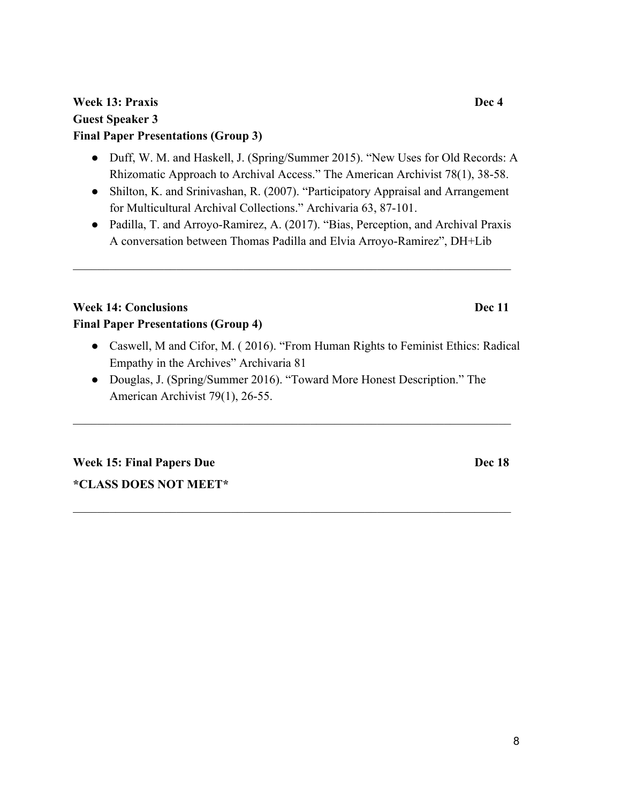## **Week 13: Praxis Dec 4 Guest Speaker 3 Final Paper Presentations (Group 3)**

- Duff, W. M. and Haskell, J. (Spring/Summer 2015). "New Uses for Old Records: A Rhizomatic Approach to Archival Access." The American Archivist 78(1), 38-58.
- Shilton, K. and Srinivashan, R. (2007). "Participatory Appraisal and Arrangement for Multicultural Archival Collections." Archivaria 63, 87-101.
- Padilla, T. and Arroyo-Ramirez, A. (2017). "Bias, Perception, and Archival Praxis A conversation between Thomas Padilla and Elvia Arroyo-Ramirez", DH+Lib

 $\mathcal{L}_\text{max}$  , and the contribution of the contribution of the contribution of the contribution of the contribution of the contribution of the contribution of the contribution of the contribution of the contribution of t

## **Week 14: Conclusions Dec 11 Final Paper Presentations (Group 4)**

- Caswell, M and Cifor, M. ( 2016). "From Human Rights to Feminist Ethics: Radical Empathy in the Archives" Archivaria 81
- Douglas, J. (Spring/Summer 2016). "Toward More Honest Description." The American Archivist 79(1), 26-55.

 $\mathcal{L}_\text{max}$  , and the contribution of the contribution of the contribution of the contribution of the contribution of the contribution of the contribution of the contribution of the contribution of the contribution of t

 $\mathcal{L}_\text{max}$  , and the contribution of the contribution of the contribution of the contribution of the contribution of the contribution of the contribution of the contribution of the contribution of the contribution of t

**Week 15: Final Papers Due Dec 18 \*CLASS DOES NOT MEET\***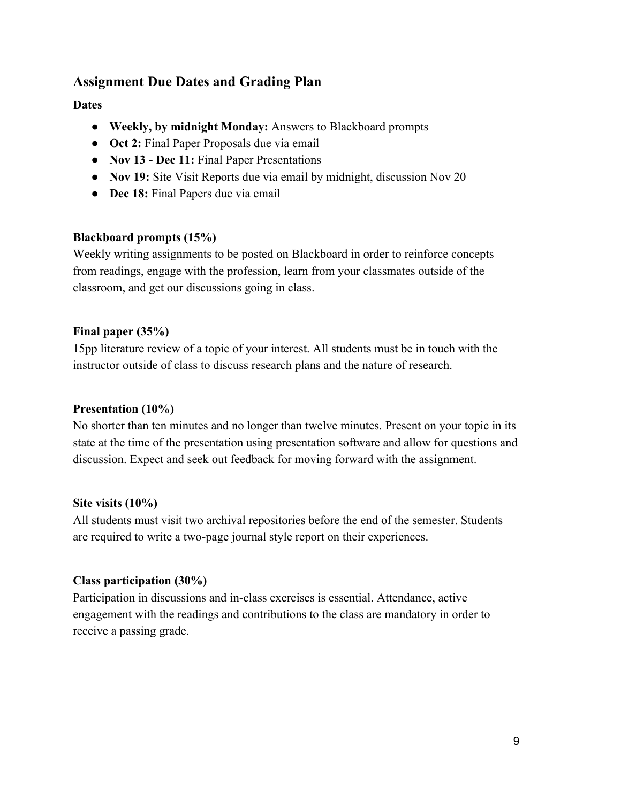## **Assignment Due Dates and Grading Plan**

## **Dates**

- **Weekly, by midnight Monday:** Answers to Blackboard prompts
- **Oct 2:** Final Paper Proposals due via email
- **Nov 13 Dec 11:** Final Paper Presentations
- **Nov 19:** Site Visit Reports due via email by midnight, discussion Nov 20
- **Dec 18:** Final Papers due via email

#### **Blackboard prompts (15%)**

Weekly writing assignments to be posted on Blackboard in order to reinforce concepts from readings, engage with the profession, learn from your classmates outside of the classroom, and get our discussions going in class.

#### **Final paper (35%)**

15pp literature review of a topic of your interest. All students must be in touch with the instructor outside of class to discuss research plans and the nature of research.

#### **Presentation (10%)**

No shorter than ten minutes and no longer than twelve minutes. Present on your topic in its state at the time of the presentation using presentation software and allow for questions and discussion. Expect and seek out feedback for moving forward with the assignment.

#### **Site visits (10%)**

All students must visit two archival repositories before the end of the semester. Students are required to write a two-page journal style report on their experiences.

#### **Class participation (30%)**

Participation in discussions and in-class exercises is essential. Attendance, active engagement with the readings and contributions to the class are mandatory in order to receive a passing grade.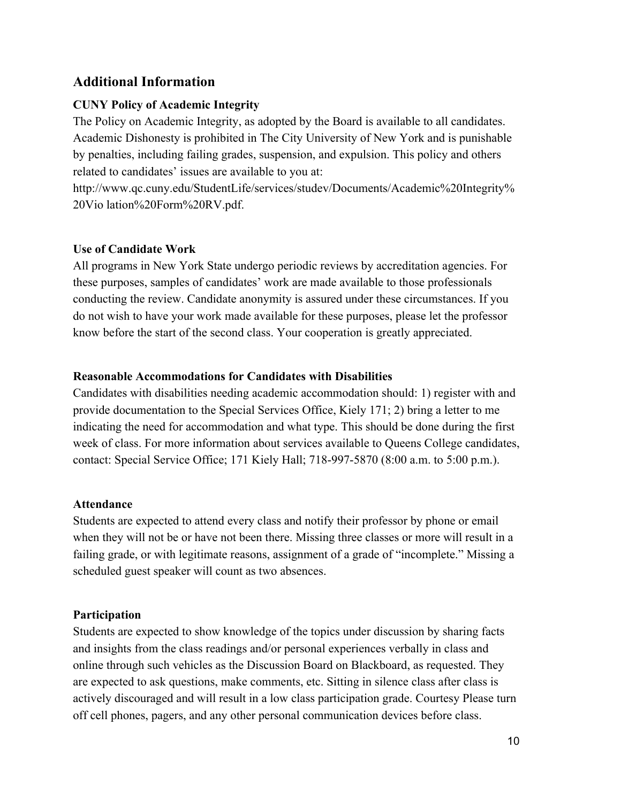## **Additional Information**

### **CUNY Policy of Academic Integrity**

The Policy on Academic Integrity, as adopted by the Board is available to all candidates. Academic Dishonesty is prohibited in The City University of New York and is punishable by penalties, including failing grades, suspension, and expulsion. This policy and others related to candidates' issues are available to you at:

http://www.qc.cuny.edu/StudentLife/services/studev/Documents/Academic%20Integrity% 20Vio lation%20Form%20RV.pdf.

#### **Use of Candidate Work**

All programs in New York State undergo periodic reviews by accreditation agencies. For these purposes, samples of candidates' work are made available to those professionals conducting the review. Candidate anonymity is assured under these circumstances. If you do not wish to have your work made available for these purposes, please let the professor know before the start of the second class. Your cooperation is greatly appreciated.

#### **Reasonable Accommodations for Candidates with Disabilities**

Candidates with disabilities needing academic accommodation should: 1) register with and provide documentation to the Special Services Office, Kiely 171; 2) bring a letter to me indicating the need for accommodation and what type. This should be done during the first week of class. For more information about services available to Queens College candidates, contact: Special Service Office; 171 Kiely Hall; 718-997-5870 (8:00 a.m. to 5:00 p.m.).

#### **Attendance**

Students are expected to attend every class and notify their professor by phone or email when they will not be or have not been there. Missing three classes or more will result in a failing grade, or with legitimate reasons, assignment of a grade of "incomplete." Missing a scheduled guest speaker will count as two absences.

#### **Participation**

Students are expected to show knowledge of the topics under discussion by sharing facts and insights from the class readings and/or personal experiences verbally in class and online through such vehicles as the Discussion Board on Blackboard, as requested. They are expected to ask questions, make comments, etc. Sitting in silence class after class is actively discouraged and will result in a low class participation grade. Courtesy Please turn off cell phones, pagers, and any other personal communication devices before class.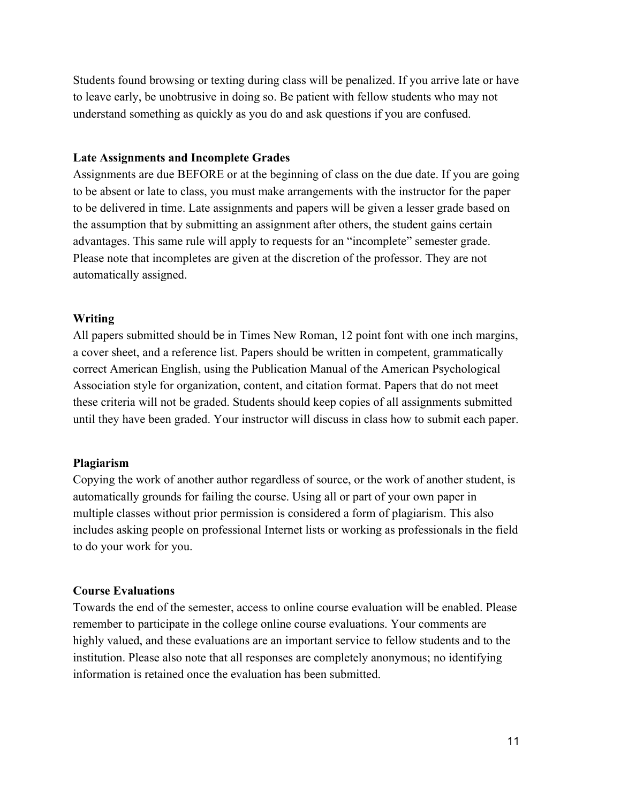Students found browsing or texting during class will be penalized. If you arrive late or have to leave early, be unobtrusive in doing so. Be patient with fellow students who may not understand something as quickly as you do and ask questions if you are confused.

#### **Late Assignments and Incomplete Grades**

Assignments are due BEFORE or at the beginning of class on the due date. If you are going to be absent or late to class, you must make arrangements with the instructor for the paper to be delivered in time. Late assignments and papers will be given a lesser grade based on the assumption that by submitting an assignment after others, the student gains certain advantages. This same rule will apply to requests for an "incomplete" semester grade. Please note that incompletes are given at the discretion of the professor. They are not automatically assigned.

#### **Writing**

All papers submitted should be in Times New Roman, 12 point font with one inch margins, a cover sheet, and a reference list. Papers should be written in competent, grammatically correct American English, using the Publication Manual of the American Psychological Association style for organization, content, and citation format. Papers that do not meet these criteria will not be graded. Students should keep copies of all assignments submitted until they have been graded. Your instructor will discuss in class how to submit each paper.

#### **Plagiarism**

Copying the work of another author regardless of source, or the work of another student, is automatically grounds for failing the course. Using all or part of your own paper in multiple classes without prior permission is considered a form of plagiarism. This also includes asking people on professional Internet lists or working as professionals in the field to do your work for you.

#### **Course Evaluations**

Towards the end of the semester, access to online course evaluation will be enabled. Please remember to participate in the college online course evaluations. Your comments are highly valued, and these evaluations are an important service to fellow students and to the institution. Please also note that all responses are completely anonymous; no identifying information is retained once the evaluation has been submitted.